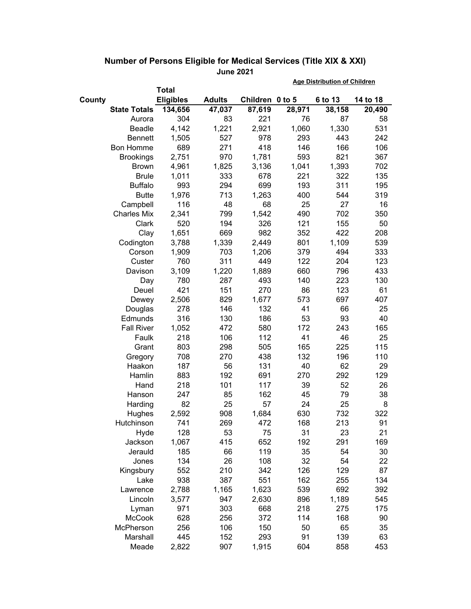|                        |                  |               |                 | <b>Age Distribution of Children</b> |              |            |  |
|------------------------|------------------|---------------|-----------------|-------------------------------------|--------------|------------|--|
|                        | <b>Total</b>     |               |                 |                                     |              |            |  |
| County                 | <b>Eligibles</b> | <b>Adults</b> | Children 0 to 5 |                                     | 6 to 13      | 14 to 18   |  |
| <b>State Totals</b>    | 134,656          | 47,037        | 87,619          | 28,971                              | 38,158       | 20,490     |  |
| Aurora                 | 304              | 83            | 221             | 76                                  | 87           | 58         |  |
| <b>Beadle</b>          | 4,142            | 1,221         | 2,921           | 1,060                               | 1,330        | 531        |  |
| <b>Bennett</b>         | 1,505            | 527           | 978             | 293                                 | 443          | 242        |  |
| <b>Bon Homme</b>       | 689              | 271           | 418             | 146                                 | 166          | 106        |  |
| <b>Brookings</b>       | 2,751            | 970           | 1,781           | 593                                 | 821          | 367        |  |
| <b>Brown</b>           | 4,961            | 1,825         | 3,136           | 1,041                               | 1,393        | 702        |  |
| <b>Brule</b>           | 1,011            | 333           | 678             | 221                                 | 322          | 135        |  |
| <b>Buffalo</b>         | 993              | 294           | 699             | 193                                 | 311          | 195        |  |
| <b>Butte</b>           | 1,976            | 713           | 1,263           | 400                                 | 544          | 319        |  |
| Campbell               | 116              | 48            | 68              | 25                                  | 27           | 16         |  |
| <b>Charles Mix</b>     | 2,341            | 799           | 1,542           | 490                                 | 702          | 350        |  |
| Clark                  | 520              | 194           | 326             | 121                                 | 155          | 50         |  |
| Clay                   | 1,651            | 669           | 982             | 352                                 | 422          | 208        |  |
| Codington              | 3,788            | 1,339         | 2,449           | 801                                 | 1,109        | 539        |  |
| Corson                 | 1,909            | 703           | 1,206           | 379                                 | 494          | 333        |  |
| Custer                 | 760              | 311           | 449             | 122                                 | 204          | 123        |  |
| Davison                | 3,109            | 1,220         | 1,889           | 660                                 | 796          | 433        |  |
| Day                    | 780              | 287           | 493             | 140                                 | 223          | 130        |  |
| Deuel                  | 421              | 151           | 270             | 86                                  | 123          | 61         |  |
| Dewey                  | 2,506            | 829           | 1,677           | 573                                 | 697          | 407        |  |
| Douglas                | 278              | 146           | 132             | 41                                  | 66           | 25         |  |
| Edmunds                | 316              | 130           | 186             | 53                                  | 93           | 40         |  |
| <b>Fall River</b>      | 1,052            | 472           | 580             | 172                                 | 243          | 165        |  |
| Faulk                  | 218              | 106           | 112             | 41                                  | 46           | 25         |  |
| Grant                  | 803              | 298           | 505             | 165                                 | 225          | 115        |  |
| Gregory                | 708              | 270           | 438             | 132                                 | 196          | 110        |  |
| Haakon                 | 187              | 56            | 131             | 40                                  | 62           | 29         |  |
| Hamlin                 | 883              | 192           | 691             | 270                                 | 292          | 129        |  |
| Hand                   | 218              | 101           | 117             | 39                                  | 52           | 26         |  |
| Hanson                 | 247              | 85            | 162             | 45                                  | 79           | 38         |  |
| Harding                | 82               | 25            | 57              | 24                                  | 25           | 8          |  |
| Hughes                 | 2,592            | 908           | 1,684           | 630                                 | 732          | 322        |  |
| Hutchinson             | 741              | 269           | 472             | 168                                 | 213          | 91         |  |
| Hyde                   | 128              | 53            | 75              | 31                                  | 23           | 21         |  |
| Jackson<br>Jerauld     | 1,067            | 415           | 652             | 192                                 | 291          | 169        |  |
|                        | 185              | 66            | 119             | 35                                  | 54           | 30         |  |
| Jones                  | 134              | 26            | 108             | 32                                  | 54           | 22         |  |
| Kingsbury              | 552              | 210           | 342             | 126<br>162                          | 129          | 87         |  |
| Lake                   | 938              | 387           | 551             | 539                                 | 255          | 134<br>392 |  |
| Lawrence               | 2,788            | 1,165         | 1,623           |                                     | 692          |            |  |
| Lincoln                | 3,577<br>971     | 947<br>303    | 2,630           | 896<br>218                          | 1,189<br>275 | 545        |  |
| Lyman<br><b>McCook</b> | 628              | 256           | 668<br>372      | 114                                 | 168          | 175<br>90  |  |
| McPherson              | 256              | 106           | 150             | 50                                  | 65           | 35         |  |
| Marshall               | 445              | 152           | 293             | 91                                  | 139          | 63         |  |
|                        |                  |               |                 |                                     |              |            |  |
| Meade                  | 2,822            | 907           | 1,915           | 604                                 | 858          | 453        |  |

## **Number of Persons Eligible for Medical Services (Title XIX & XXI) June 2021**